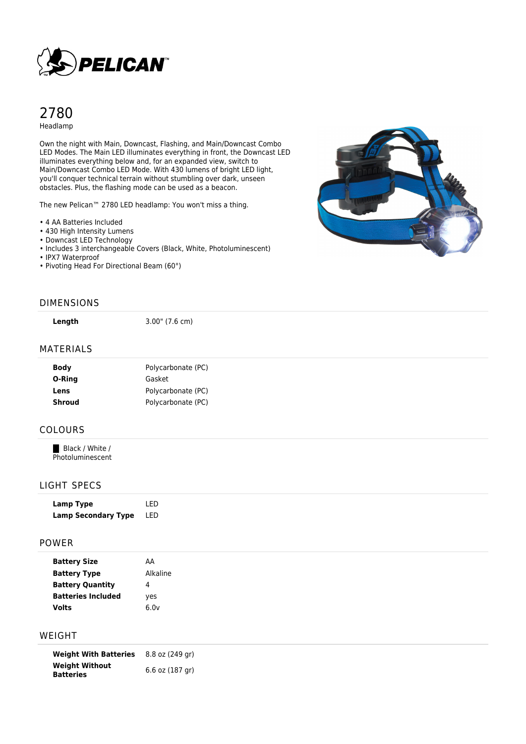

# 2780 Headlamp

Own the night with Main, Downcast, Flashing, and Main/Downcast Combo LED Modes. The Main LED illuminates everything in front, the Downcast LED illuminates everything below and, for an expanded view, switch to Main/Downcast Combo LED Mode. With 430 lumens of bright LED light, you'll conquer technical terrain without stumbling over dark, unseen obstacles. Plus, the flashing mode can be used as a beacon.

The new Pelican™ 2780 LED headlamp: You won't miss a thing.

- 4 AA Batteries Included
- 430 High Intensity Lumens
- Downcast LED Technology
- Includes 3 interchangeable Covers (Black, White, Photoluminescent)
- IPX7 Waterproof
- Pivoting Head For Directional Beam (60°)



#### DIMENSIONS

**Length** 3.00" (7.6 cm)

### MATERIALS

| <b>Body</b>   | Polycarbonate (PC) |
|---------------|--------------------|
| O-Ring        | Gasket             |
| Lens          | Polycarbonate (PC) |
| <b>Shroud</b> | Polycarbonate (PC) |
|               |                    |

### COLOURS

Black / White / Photoluminescent

### LIGHT SPECS

| Lamp Type                  | I FD |
|----------------------------|------|
| <b>Lamp Secondary Type</b> | LED  |

#### POWER

| <b>Battery Size</b>       | AA       |
|---------------------------|----------|
| <b>Battery Type</b>       | Alkaline |
| <b>Battery Quantity</b>   | 4        |
| <b>Batteries Included</b> | yes      |
| <b>Volts</b>              | 6.0v     |

### WEIGHT

**Weight With Batteries** 8.8 oz (249 gr) **Weight Without Batteries** 6.6 oz (187 gr)